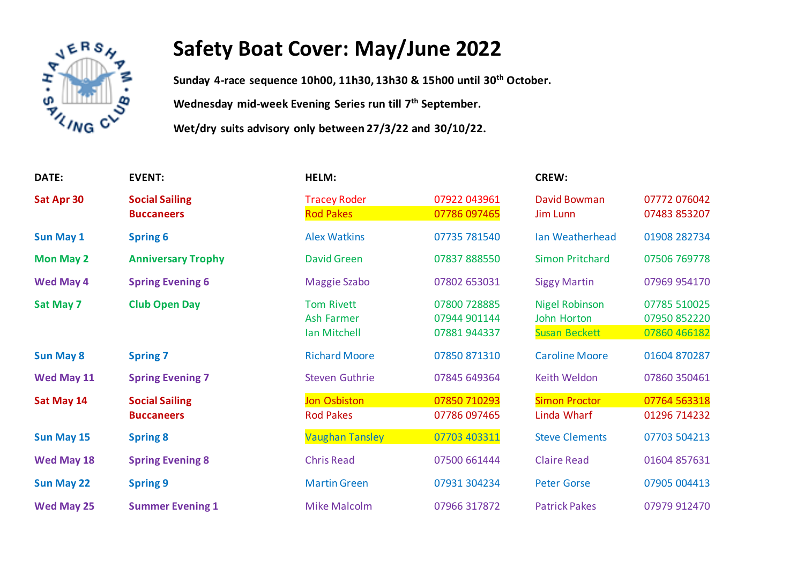

## **Safety Boat Cover: May/June 2022**

**Sunday 4-race sequence 10h00, 11h30, 13h30 & 15h00 until 30 th October. Wednesday mid-week Evening Series run till 7th September.**

**Wet/dry suits advisory only between 27/3/22 and 30/10/22.** 

| DATE:             | <b>EVENT:</b>                              | HELM:                                                  |                                              | <b>CREW:</b>                                                 |                                              |
|-------------------|--------------------------------------------|--------------------------------------------------------|----------------------------------------------|--------------------------------------------------------------|----------------------------------------------|
| Sat Apr 30        | <b>Social Sailing</b><br><b>Buccaneers</b> | <b>Tracey Roder</b><br><b>Rod Pakes</b>                | 07922 043961<br>07786 097465                 | David Bowman<br><b>Jim Lunn</b>                              | 07772 076042<br>07483 853207                 |
| <b>Sun May 1</b>  | <b>Spring 6</b>                            | <b>Alex Watkins</b>                                    | 07735 781540                                 | <b>Ian Weatherhead</b>                                       | 01908 282734                                 |
| <b>Mon May 2</b>  | <b>Anniversary Trophy</b>                  | <b>David Green</b>                                     | 07837 888550                                 | <b>Simon Pritchard</b>                                       | 07506 769778                                 |
| <b>Wed May 4</b>  | <b>Spring Evening 6</b>                    | <b>Maggie Szabo</b>                                    | 07802 653031                                 | <b>Siggy Martin</b>                                          | 07969 954170                                 |
| <b>Sat May 7</b>  | <b>Club Open Day</b>                       | <b>Tom Rivett</b><br><b>Ash Farmer</b><br>Ian Mitchell | 07800 728885<br>07944 901144<br>07881 944337 | <b>Nigel Robinson</b><br>John Horton<br><b>Susan Beckett</b> | 07785 510025<br>07950 852220<br>07860 466182 |
| <b>Sun May 8</b>  | <b>Spring 7</b>                            | <b>Richard Moore</b>                                   | 07850 871310                                 | <b>Caroline Moore</b>                                        | 01604 870287                                 |
| Wed May 11        | <b>Spring Evening 7</b>                    | <b>Steven Guthrie</b>                                  | 07845 649364                                 | Keith Weldon                                                 | 07860 350461                                 |
| Sat May 14        | <b>Social Sailing</b><br><b>Buccaneers</b> | <b>Jon Osbiston</b><br><b>Rod Pakes</b>                | 07850 710293<br>07786 097465                 | <b>Simon Proctor</b><br>Linda Wharf                          | 07764 563318<br>01296 714232                 |
| <b>Sun May 15</b> | <b>Spring 8</b>                            | <b>Vaughan Tansley</b>                                 | 07703 403311                                 | <b>Steve Clements</b>                                        | 07703 504213                                 |
| Wed May 18        | <b>Spring Evening 8</b>                    | <b>Chris Read</b>                                      | 07500 661444                                 | <b>Claire Read</b>                                           | 01604 857631                                 |
| <b>Sun May 22</b> | <b>Spring 9</b>                            | <b>Martin Green</b>                                    | 07931 304234                                 | <b>Peter Gorse</b>                                           | 07905 004413                                 |
| <b>Wed May 25</b> | <b>Summer Evening 1</b>                    | <b>Mike Malcolm</b>                                    | 07966 317872                                 | <b>Patrick Pakes</b>                                         | 07979 912470                                 |